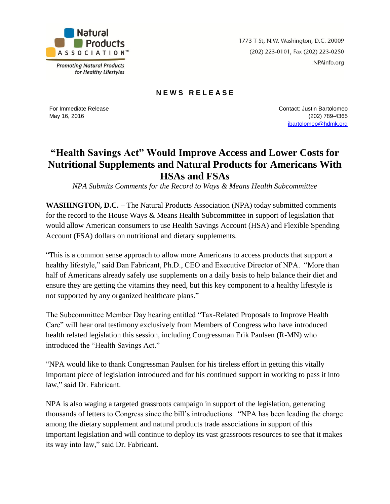

**Promoting Natural Products** for Healthy Lifestyles 1773 T St, N.W. Washington, D.C. 20009 (202) 223-0101, Fax (202) 223-0250 NPAinfo.org

## **N E W S R E L E A S E**

For Immediate Release May 16, 2016

Contact: Justin Bartolomeo (202) 789-4365 [jbartolomeo@hdmk.org](mailto:jbartolomeo@hdmk.org)

## **"Health Savings Act" Would Improve Access and Lower Costs for Nutritional Supplements and Natural Products for Americans With HSAs and FSAs**

*NPA Submits Comments for the Record to Ways & Means Health Subcommittee*

**WASHINGTON, D.C.** – The Natural Products Association (NPA) today submitted comments for the record to the House Ways & Means Health Subcommittee in support of legislation that would allow American consumers to use Health Savings Account (HSA) and Flexible Spending Account (FSA) dollars on nutritional and dietary supplements.

"This is a common sense approach to allow more Americans to access products that support a healthy lifestyle," said Dan Fabricant, Ph.D., CEO and Executive Director of NPA. "More than half of Americans already safely use supplements on a daily basis to help balance their diet and ensure they are getting the vitamins they need, but this key component to a healthy lifestyle is not supported by any organized healthcare plans."

The Subcommittee Member Day hearing entitled "Tax-Related Proposals to Improve Health Care" will hear oral testimony exclusively from Members of Congress who have introduced health related legislation this session, including Congressman Erik Paulsen (R-MN) who introduced the "Health Savings Act."

"NPA would like to thank Congressman Paulsen for his tireless effort in getting this vitally important piece of legislation introduced and for his continued support in working to pass it into law," said Dr. Fabricant.

NPA is also waging a targeted grassroots campaign in support of the legislation, generating thousands of letters to Congress since the bill's introductions. "NPA has been leading the charge among the dietary supplement and natural products trade associations in support of this important legislation and will continue to deploy its vast grassroots resources to see that it makes its way into law," said Dr. Fabricant.